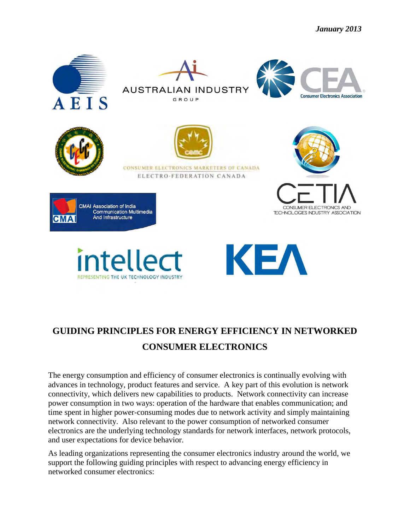

## **GUIDING PRINCIPLES FOR ENERGY EFFICIENCY IN NETWORKED CONSUMER ELECTRONICS**

The energy consumption and efficiency of consumer electronics is continually evolving with advances in technology, product features and service. A key part of this evolution is network connectivity, which delivers new capabilities to products. Network connectivity can increase power consumption in two ways: operation of the hardware that enables communication; and time spent in higher power-consuming modes due to network activity and simply maintaining network connectivity. Also relevant to the power consumption of networked consumer electronics are the underlying technology standards for network interfaces, network protocols, and user expectations for device behavior.

As leading organizations representing the consumer electronics industry around the world, we support the following guiding principles with respect to advancing energy efficiency in networked consumer electronics: